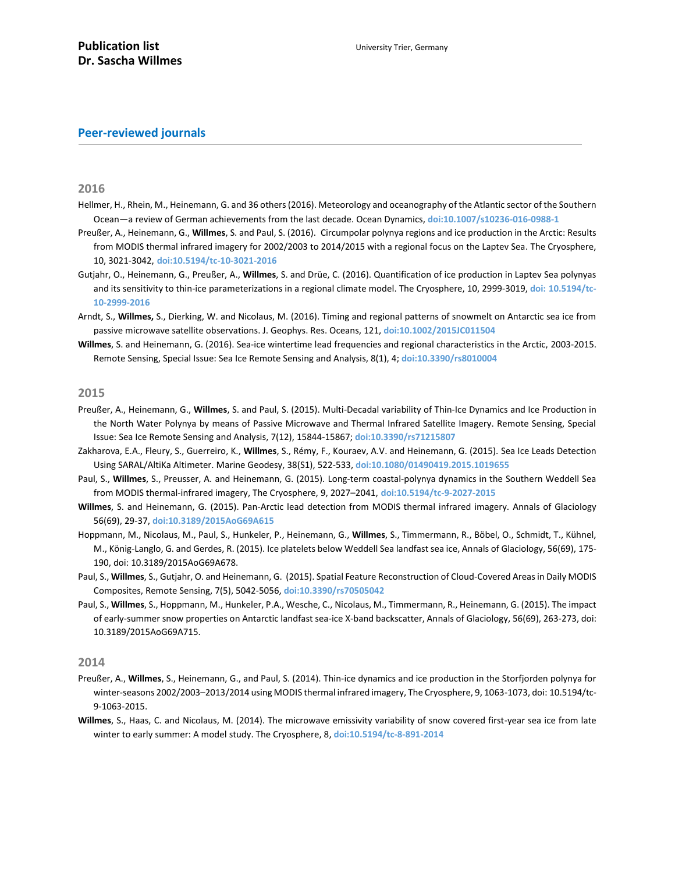# **Peer-reviewed journals**

**2016**

- Hellmer, H., Rhein, M., Heinemann, G. and 36 others (2016). Meteorology and oceanography of the Atlantic sector of the Southern Ocean—a review of German achievements from the last decade. Ocean Dynamics, **[doi:10.1007/s10236-016-0988-1](http://epic.awi.de/41756/1/Hellmer_etal_OD2016.pdf)**
- Preußer, A., Heinemann, G., **Willmes**, S. and Paul, S. (2016). Circumpolar polynya regions and ice production in the Arctic: Results from MODIS thermal infrared imagery for 2002/2003 to 2014/2015 with a regional focus on the Laptev Sea. The Cryosphere, 10, 3021-3042, **[doi:10.5194/tc-10-3021-2016](http://www.the-cryosphere.net/10/3021/2016/)**
- Gutjahr, O., Heinemann, G., Preußer, A., **Willmes**, S. and Drüe, C. (2016). Quantification of ice production in Laptev Sea polynyas and its sensitivity to thin-ice parameterizations in a regional climate model. The Cryosphere, 10, 2999-3019, **doi: [10.5194/tc-](http://www.the-cryosphere.net/10/2999/2016/)[10-2999-2016](http://www.the-cryosphere.net/10/2999/2016/)**
- Arndt, S., **Willmes,** S., Dierking, W. and Nicolaus, M. (2016). Timing and regional patterns of snowmelt on Antarctic sea ice from passive microwave satellite observations. J. Geophys. Res. Oceans, 121, **[doi:10.1002/2015JC011504](http://onlinelibrary.wiley.com/doi/10.1002/2015JC011504/full)**
- **Willmes**, S. and Heinemann, G. (2016). Sea-ice wintertime lead frequencies and regional characteristics in the Arctic, 2003-2015. Remote Sensing, Special Issue: Sea Ice Remote Sensing and Analysis, 8(1), 4; **[doi:10.3390/rs8010004](http://www.mdpi.com/2072-4292/8/1/4)**

## **2015**

- Preußer, A., Heinemann, G., **Willmes**, S. and Paul, S. (2015). Multi-Decadal variability of Thin-Ice Dynamics and Ice Production in the North Water Polynya by means of Passive Microwave and Thermal Infrared Satellite Imagery. Remote Sensing, Special Issue: Sea Ice Remote Sensing and Analysis, 7(12), 15844-15867; **[doi:10.3390/rs71215807](http://www.mdpi.com/2072-4292/7/12/15807)**
- Zakharova, E.A., Fleury, S., Guerreiro, K., **Willmes**, S., Rémy, F., Kouraev, A.V. and Heinemann, G. (2015). Sea Ice Leads Detection Using SARAL/AltiKa Altimeter. Marine Geodesy, 38(S1), 522-533, **[doi:10.1080/01490419.2015.1019655](http://www.tandfonline.com/doi/abs/10.1080/01490419.2015.1019655?journalCode=umgd20)**
- Paul, S., **Willmes**, S., Preusser, A. and Heinemann, G. (2015). Long-term coastal-polynya dynamics in the Southern Weddell Sea from MODIS thermal-infrared imagery, The Cryosphere, 9, 2027–2041, **[doi:10.5194/tc-9-2027-2015](http://www.the-cryosphere.net/9/2027/2015/)**
- **Willmes**, S. and Heinemann, G. (2015). Pan-Arctic lead detection from MODIS thermal infrared imagery. Annals of Glaciology 56(69), 29-37, **[doi:10.3189/2015AoG69A615](http://www.ingentaconnect.com/content/igsoc/agl/2015/00000056/00000069/art00004)**
- Hoppmann, M., Nicolaus, M., Paul, S., Hunkeler, P., Heinemann, G., **Willmes**, S., Timmermann, R., Böbel, O., Schmidt, T., Kühnel, M., König-Langlo, G. and Gerdes, R. (2015). Ice platelets below Weddell Sea landfast sea ice, Annals of Glaciology, 56(69), 175- 190, doi: 10.3189/2015AoG69A678.
- Paul, S., **Willmes**, S., Gutjahr, O. and Heinemann, G. (2015). Spatial Feature Reconstruction of Cloud-Covered Areas in Daily MODIS Composites, Remote Sensing, 7(5), 5042-5056, **[doi:10.3390/rs70505042](http://www.mdpi.com/2072-4292/7/5/5042)**
- Paul, S., **Willmes**, S., Hoppmann, M., Hunkeler, P.A., Wesche, C., Nicolaus, M., Timmermann, R., Heinemann, G. (2015). The impact of early-summer snow properties on Antarctic landfast sea-ice X-band backscatter, Annals of Glaciology, 56(69), 263-273, doi: 10.3189/2015AoG69A715.

## **2014**

- Preußer, A., **Willmes**, S., Heinemann, G., and Paul, S. (2014). Thin-ice dynamics and ice production in the Storfjorden polynya for winter-seasons 2002/2003–2013/2014 using MODIS thermal infrared imagery, The Cryosphere, 9, 1063-1073, doi: 10.5194/tc-9-1063-2015.
- **Willmes**, S., Haas, C. and Nicolaus, M. (2014). The microwave emissivity variability of snow covered first-year sea ice from late winter to early summer: A model study. The Cryosphere, 8, **[doi:10.5194/tc-8-891-2014](http://www.the-cryosphere.net/8/891/2014/tc-8-891-2014.pdf)**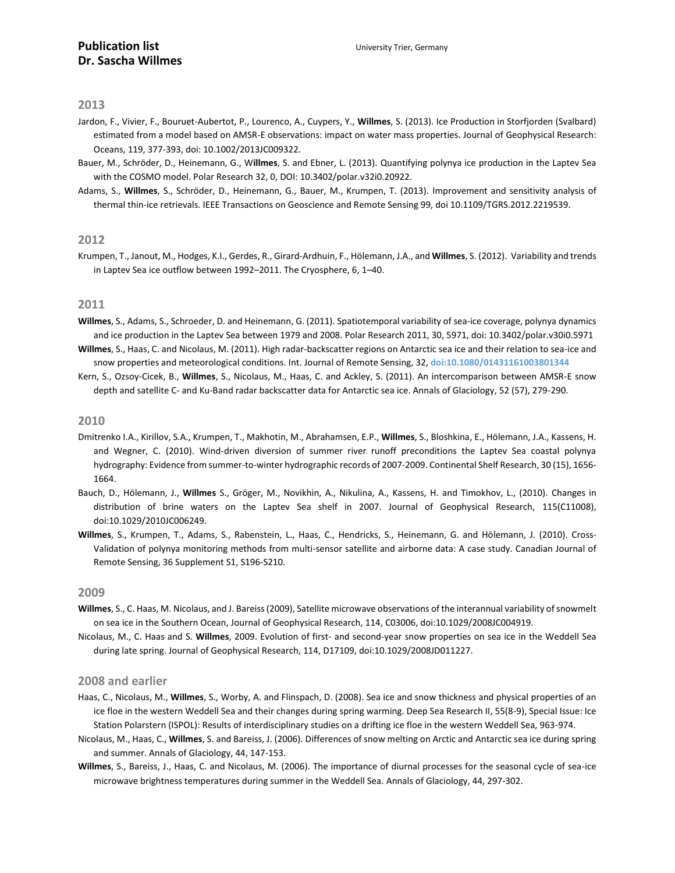- Jardon, F., Vivier, F., Bouruet-Aubertot, P., Lourenco, A., Cuypers, Y., **Willmes**, S. (2013). Ice Production in Storfjorden (Svalbard) estimated from a model based on AMSR-E observations: impact on water mass properties. Journal of Geophysical Research: Oceans, 119, 377-393, doi: 10.1002/2013JC009322.
- Bauer, M., Schröder, D., Heinemann, G., W**illmes**, S. and Ebner, L. (2013). Quantifying polynya ice production in the Laptev Sea with the COSMO model. Polar Research 32, 0, DOI: 10.3402/polar.v32i0.20922.
- Adams, S., **Willmes**, S., Schröder, D., Heinemann, G., Bauer, M., Krumpen, T. (2013). Improvement and sensitivity analysis of thermal thin-ice retrievals. IEEE Transactions on Geoscience and Remote Sensing 99, doi 10.1109/TGRS.2012.2219539.

#### **2012**

Krumpen, T., Janout, M., Hodges, K.I., Gerdes, R., Girard-Ardhuin, F., Hölemann, J.A., and **Willmes**, S. (2012). Variability and trends in Laptev Sea ice outflow between 1992–2011. The Cryosphere, 6, 1–40.

#### **2011**

- **Willmes**, S., Adams, S., Schroeder, D. and Heinemann, G. (2011). Spatiotemporal variability of sea-ice coverage, polynya dynamics and ice production in the Laptev Sea between 1979 and 2008. Polar Research 2011, 30, 5971, doi: 10.3402/polar.v30i0.5971
- **Willmes**, S., Haas, C. and Nicolaus, M. (2011). High radar-backscatter regions on Antarctic sea ice and their relation to sea-ice and snow properties and meteorological conditions. Int. Journal of Remote Sensing, 32, **[doi:10.1080/01431161003801344](http://dx.doi.org/10.1080/01431161003801344)**
- Kern, S., Ozsoy-Cicek, B., **Willmes**, S., Nicolaus, M., Haas, C. and Ackley, S. (2011). An intercomparison between AMSR-E snow depth and satellite C- and Ku-Band radar backscatter data for Antarctic sea ice. Annals of Glaciology, 52 (57), 279-290.

#### **2010**

- Dmitrenko I.A., Kirillov, S.A., Krumpen, T., Makhotin, M., Abrahamsen, E.P., **Willmes**, S., Bloshkina, E., Hölemann, J.A., Kassens, H. and Wegner, C. (2010). Wind-driven diversion of summer river runoff preconditions the Laptev Sea coastal polynya hydrography: Evidence from summer-to-winter hydrographic records of 2007-2009. Continental Shelf Research, 30 (15), 1656- 1664.
- Bauch, D., Hölemann, J., **Willmes** S., Gröger, M., Novikhin, A., Nikulina, A., Kassens, H. and Timokhov, L., (2010). Changes in distribution of brine waters on the Laptev Sea shelf in 2007. Journal of Geophysical Research, 115(C11008), doi:10.1029/2010JC006249.
- **Willmes**, S., Krumpen, T., Adams, S., Rabenstein, L., Haas, C., Hendricks, S., Heinemann, G. and Hölemann, J. (2010). Cross-Validation of polynya monitoring methods from multi-sensor satellite and airborne data: A case study. Canadian Journal of Remote Sensing, 36 Supplement S1, S196-S210.

## **2009**

- **Willmes**, S., C. Haas, M. Nicolaus, and J. Bareiss (2009), Satellite microwave observations of the interannual variability of snowmelt on sea ice in the Southern Ocean, Journal of Geophysical Research, 114, C03006, doi:10.1029/2008JC004919.
- Nicolaus, M., C. Haas and S. **Willmes**, 2009. Evolution of first- and second-year snow properties on sea ice in the Weddell Sea during late spring. Journal of Geophysical Research, 114, D17109, doi:10.1029/2008JD011227.

### **2008 and earlier**

- Haas, C., Nicolaus, M., **Willmes**, S., Worby, A. and Flinspach, D. (2008). Sea ice and snow thickness and physical properties of an ice floe in the western Weddell Sea and their changes during spring warming. Deep Sea Research II, 55(8-9), Special Issue: Ice Station Polarstern (ISPOL): Results of interdisciplinary studies on a drifting ice floe in the western Weddell Sea, 963-974.
- Nicolaus, M., Haas, C., **Willmes**, S. and Bareiss, J. (2006). Differences of snow melting on Arctic and Antarctic sea ice during spring and summer. Annals of Glaciology, 44, 147-153.
- **Willmes**, S., Bareiss, J., Haas, C. and Nicolaus, M. (2006). The importance of diurnal processes for the seasonal cycle of sea-ice microwave brightness temperatures during summer in the Weddell Sea. Annals of Glaciology, 44, 297-302.